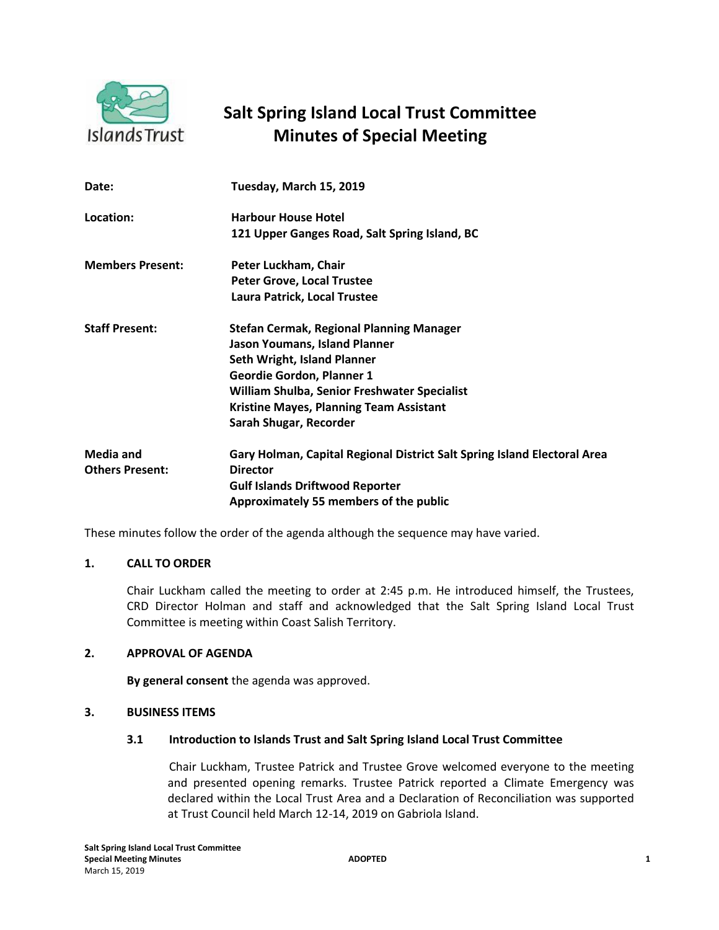

# **Salt Spring Island Local Trust Committee Minutes of Special Meeting**

| Date:                               | Tuesday, March 15, 2019                                                                                                                                                                                                                                                         |
|-------------------------------------|---------------------------------------------------------------------------------------------------------------------------------------------------------------------------------------------------------------------------------------------------------------------------------|
| Location:                           | <b>Harbour House Hotel</b><br>121 Upper Ganges Road, Salt Spring Island, BC                                                                                                                                                                                                     |
| <b>Members Present:</b>             | Peter Luckham, Chair<br><b>Peter Grove, Local Trustee</b><br>Laura Patrick, Local Trustee                                                                                                                                                                                       |
| <b>Staff Present:</b>               | <b>Stefan Cermak, Regional Planning Manager</b><br>Jason Youmans, Island Planner<br><b>Seth Wright, Island Planner</b><br>Geordie Gordon, Planner 1<br>William Shulba, Senior Freshwater Specialist<br><b>Kristine Mayes, Planning Team Assistant</b><br>Sarah Shugar, Recorder |
| Media and<br><b>Others Present:</b> | Gary Holman, Capital Regional District Salt Spring Island Electoral Area<br><b>Director</b><br><b>Gulf Islands Driftwood Reporter</b><br>Approximately 55 members of the public                                                                                                 |

These minutes follow the order of the agenda although the sequence may have varied.

# **1. CALL TO ORDER**

Chair Luckham called the meeting to order at 2:45 p.m. He introduced himself, the Trustees, CRD Director Holman and staff and acknowledged that the Salt Spring Island Local Trust Committee is meeting within Coast Salish Territory.

## **2. APPROVAL OF AGENDA**

**By general consent** the agenda was approved.

## **3. BUSINESS ITEMS**

#### **3.1 Introduction to Islands Trust and Salt Spring Island Local Trust Committee**

Chair Luckham, Trustee Patrick and Trustee Grove welcomed everyone to the meeting and presented opening remarks. Trustee Patrick reported a Climate Emergency was declared within the Local Trust Area and a Declaration of Reconciliation was supported at Trust Council held March 12-14, 2019 on Gabriola Island.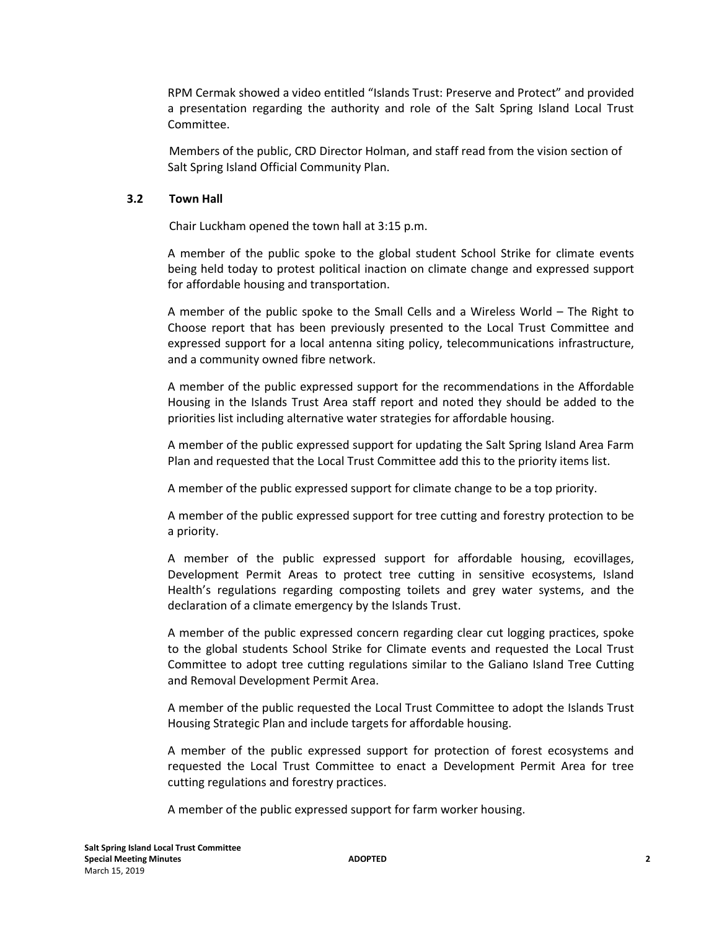RPM Cermak showed a video entitled "Islands Trust: Preserve and Protect" and provided a presentation regarding the authority and role of the Salt Spring Island Local Trust Committee.

Members of the public, CRD Director Holman, and staff read from the vision section of Salt Spring Island Official Community Plan.

# **3.2 Town Hall**

Chair Luckham opened the town hall at 3:15 p.m.

A member of the public spoke to the global student School Strike for climate events being held today to protest political inaction on climate change and expressed support for affordable housing and transportation.

A member of the public spoke to the Small Cells and a Wireless World – The Right to Choose report that has been previously presented to the Local Trust Committee and expressed support for a local antenna siting policy, telecommunications infrastructure, and a community owned fibre network.

A member of the public expressed support for the recommendations in the Affordable Housing in the Islands Trust Area staff report and noted they should be added to the priorities list including alternative water strategies for affordable housing.

A member of the public expressed support for updating the Salt Spring Island Area Farm Plan and requested that the Local Trust Committee add this to the priority items list.

A member of the public expressed support for climate change to be a top priority.

A member of the public expressed support for tree cutting and forestry protection to be a priority.

A member of the public expressed support for affordable housing, ecovillages, Development Permit Areas to protect tree cutting in sensitive ecosystems, Island Health's regulations regarding composting toilets and grey water systems, and the declaration of a climate emergency by the Islands Trust.

A member of the public expressed concern regarding clear cut logging practices, spoke to the global students School Strike for Climate events and requested the Local Trust Committee to adopt tree cutting regulations similar to the Galiano Island Tree Cutting and Removal Development Permit Area.

A member of the public requested the Local Trust Committee to adopt the Islands Trust Housing Strategic Plan and include targets for affordable housing.

A member of the public expressed support for protection of forest ecosystems and requested the Local Trust Committee to enact a Development Permit Area for tree cutting regulations and forestry practices.

A member of the public expressed support for farm worker housing.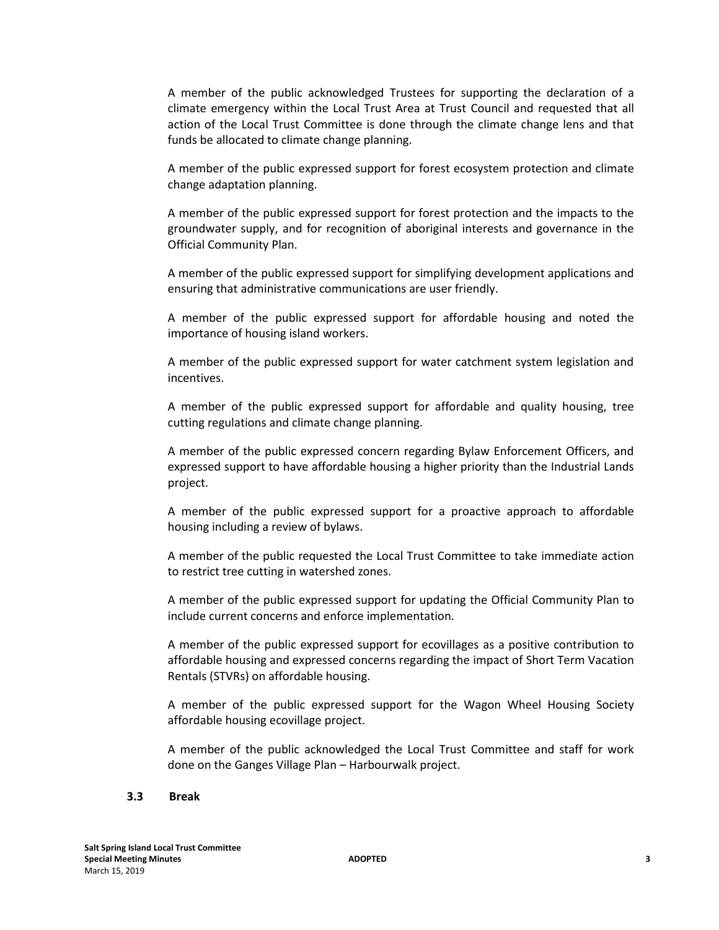A member of the public acknowledged Trustees for supporting the declaration of a climate emergency within the Local Trust Area at Trust Council and requested that all action of the Local Trust Committee is done through the climate change lens and that funds be allocated to climate change planning.

A member of the public expressed support for forest ecosystem protection and climate change adaptation planning.

A member of the public expressed support for forest protection and the impacts to the groundwater supply, and for recognition of aboriginal interests and governance in the Official Community Plan.

A member of the public expressed support for simplifying development applications and ensuring that administrative communications are user friendly.

A member of the public expressed support for affordable housing and noted the importance of housing island workers.

A member of the public expressed support for water catchment system legislation and incentives.

A member of the public expressed support for affordable and quality housing, tree cutting regulations and climate change planning.

A member of the public expressed concern regarding Bylaw Enforcement Officers, and expressed support to have affordable housing a higher priority than the Industrial Lands project.

A member of the public expressed support for a proactive approach to affordable housing including a review of bylaws.

A member of the public requested the Local Trust Committee to take immediate action to restrict tree cutting in watershed zones.

A member of the public expressed support for updating the Official Community Plan to include current concerns and enforce implementation.

A member of the public expressed support for ecovillages as a positive contribution to affordable housing and expressed concerns regarding the impact of Short Term Vacation Rentals (STVRs) on affordable housing.

A member of the public expressed support for the Wagon Wheel Housing Society affordable housing ecovillage project.

A member of the public acknowledged the Local Trust Committee and staff for work done on the Ganges Village Plan – Harbourwalk project.

#### **3.3 Break**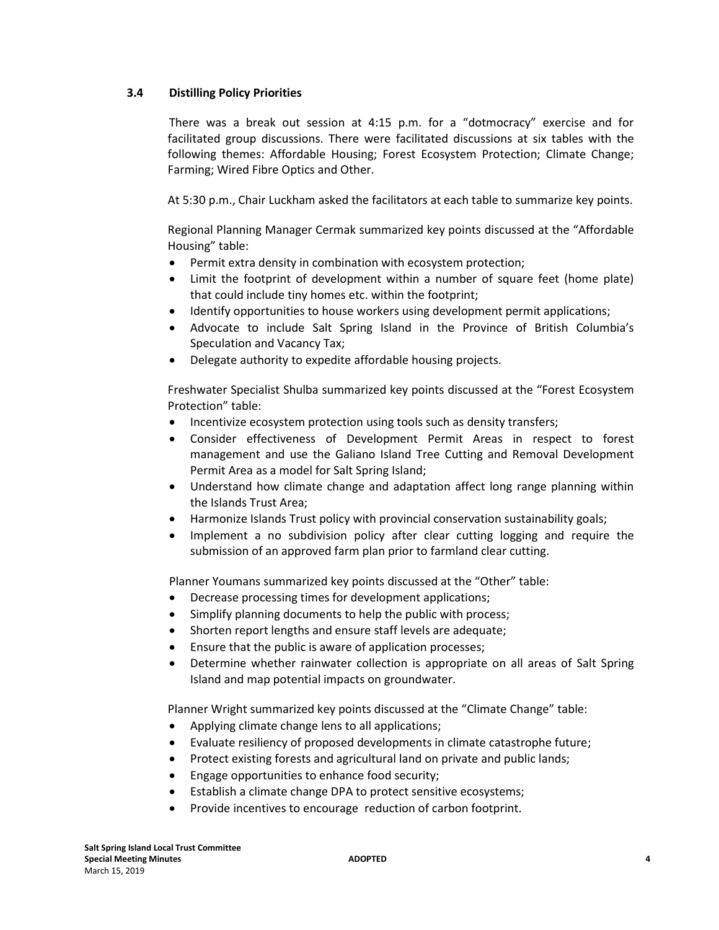# **3.4 Distilling Policy Priorities**

There was a break out session at 4:15 p.m. for a "dotmocracy" exercise and for facilitated group discussions. There were facilitated discussions at six tables with the following themes: Affordable Housing; Forest Ecosystem Protection; Climate Change; Farming; Wired Fibre Optics and Other.

At 5:30 p.m., Chair Luckham asked the facilitators at each table to summarize key points.

Regional Planning Manager Cermak summarized key points discussed at the "Affordable Housing" table:

- Permit extra density in combination with ecosystem protection;
- Limit the footprint of development within a number of square feet (home plate) that could include tiny homes etc. within the footprint;
- Identify opportunities to house workers using development permit applications;
- Advocate to include Salt Spring Island in the Province of British Columbia's Speculation and Vacancy Tax;
- Delegate authority to expedite affordable housing projects.

Freshwater Specialist Shulba summarized key points discussed at the "Forest Ecosystem Protection" table:

- Incentivize ecosystem protection using tools such as density transfers;
- Consider effectiveness of Development Permit Areas in respect to forest management and use the Galiano Island Tree Cutting and Removal Development Permit Area as a model for Salt Spring Island;
- Understand how climate change and adaptation affect long range planning within the Islands Trust Area;
- Harmonize Islands Trust policy with provincial conservation sustainability goals;
- Implement a no subdivision policy after clear cutting logging and require the submission of an approved farm plan prior to farmland clear cutting.

Planner Youmans summarized key points discussed at the "Other" table:

- Decrease processing times for development applications;
- Simplify planning documents to help the public with process;
- Shorten report lengths and ensure staff levels are adequate;
- Ensure that the public is aware of application processes;
- Determine whether rainwater collection is appropriate on all areas of Salt Spring Island and map potential impacts on groundwater.

Planner Wright summarized key points discussed at the "Climate Change" table:

- Applying climate change lens to all applications;
- Evaluate resiliency of proposed developments in climate catastrophe future;
- Protect existing forests and agricultural land on private and public lands;
- **•** Engage opportunities to enhance food security;
- Establish a climate change DPA to protect sensitive ecosystems;
- Provide incentives to encourage reduction of carbon footprint.